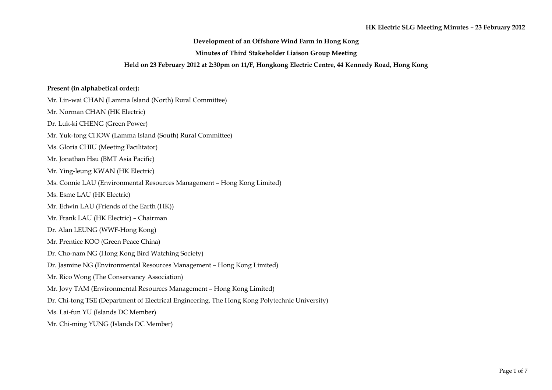# **Development of an Offshore Wind Farm in Hong Kong**

### **Minutes of Third Stakeholder Liaison Group Meeting**

# **Held on 23 February 2012 at 2:30pm on 11/F, Hongkong Electric Centre, 44 Kennedy Road, Hong Kong**

#### **Present (in alphabetical order):**

Mr. Lin-wai CHAN (Lamma Island (North) Rural Committee) Mr. Norman CHAN (HK Electric) Dr. Luk-ki CHENG (Green Power) Mr. Yuk-tong CHOW (Lamma Island (South) Rural Committee) Ms. Gloria CHIU (Meeting Facilitator) Mr. Jonathan Hsu (BMT Asia Pacific) Mr. Ying-leung KWAN (HK Electric) Ms. Connie LAU (Environmental Resources Management – Hong Kong Limited) Ms. Esme LAU (HK Electric) Mr. Edwin LAU (Friends of the Earth (HK)) Mr. Frank LAU (HK Electric) – Chairman Dr. Alan LEUNG (WWF-Hong Kong) Mr. Prentice KOO (Green Peace China) Dr. Cho-nam NG (Hong Kong Bird Watching Society) Dr. Jasmine NG (Environmental Resources Management – Hong Kong Limited) Mr. Rico Wong (The Conservancy Association) Mr. Jovy TAM (Environmental Resources Management – Hong Kong Limited) Dr. Chi-tong TSE (Department of Electrical Engineering, The Hong Kong Polytechnic University) Ms. Lai-fun YU (Islands DC Member) Mr. Chi-ming YUNG (Islands DC Member)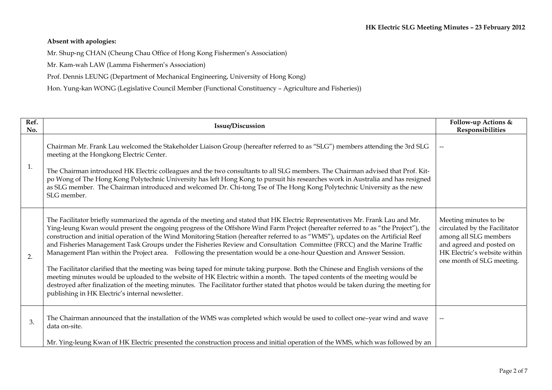# **Absent with apologies:**

Mr. Shup-ng CHAN (Cheung Chau Office of Hong Kong Fishermen's Association)

Mr. Kam-wah LAW (Lamma Fishermen's Association)

Prof. Dennis LEUNG (Department of Mechanical Engineering, University of Hong Kong)

Hon. Yung-kan WONG (Legislative Council Member (Functional Constituency – Agriculture and Fisheries))

| Ref.<br>No. | <b>Issue/Discussion</b>                                                                                                                                                                                                                                                                                                                                                                                                                                                                                                                                                                                                                                                                                                                                                                                                                                                                                                                                                                                                                                                                                                         | Follow-up Actions &<br>Responsibilities                                                                                                                                  |
|-------------|---------------------------------------------------------------------------------------------------------------------------------------------------------------------------------------------------------------------------------------------------------------------------------------------------------------------------------------------------------------------------------------------------------------------------------------------------------------------------------------------------------------------------------------------------------------------------------------------------------------------------------------------------------------------------------------------------------------------------------------------------------------------------------------------------------------------------------------------------------------------------------------------------------------------------------------------------------------------------------------------------------------------------------------------------------------------------------------------------------------------------------|--------------------------------------------------------------------------------------------------------------------------------------------------------------------------|
| 1.          | Chairman Mr. Frank Lau welcomed the Stakeholder Liaison Group (hereafter referred to as "SLG") members attending the 3rd SLG<br>meeting at the Hongkong Electric Center.<br>The Chairman introduced HK Electric colleagues and the two consultants to all SLG members. The Chairman advised that Prof. Kit-<br>po Wong of The Hong Kong Polytechnic University has left Hong Kong to pursuit his researches work in Australia and has resigned<br>as SLG member. The Chairman introduced and welcomed Dr. Chi-tong Tse of The Hong Kong Polytechnic University as the new<br>SLG member.                                                                                                                                                                                                                                                                                                                                                                                                                                                                                                                                        | $-$                                                                                                                                                                      |
| 2.          | The Facilitator briefly summarized the agenda of the meeting and stated that HK Electric Representatives Mr. Frank Lau and Mr.<br>Ying-leung Kwan would present the ongoing progress of the Offshore Wind Farm Project (hereafter referred to as "the Project"), the<br>construction and initial operation of the Wind Monitoring Station (hereafter referred to as "WMS"), updates on the Artificial Reef<br>and Fisheries Management Task Groups under the Fisheries Review and Consultation Committee (FRCC) and the Marine Traffic<br>Management Plan within the Project area. Following the presentation would be a one-hour Question and Answer Session.<br>The Facilitator clarified that the meeting was being taped for minute taking purpose. Both the Chinese and English versions of the<br>meeting minutes would be uploaded to the website of HK Electric within a month. The taped contents of the meeting would be<br>destroyed after finalization of the meeting minutes. The Facilitator further stated that photos would be taken during the meeting for<br>publishing in HK Electric's internal newsletter. | Meeting minutes to be<br>circulated by the Facilitator<br>among all SLG members<br>and agreed and posted on<br>HK Electric's website within<br>one month of SLG meeting. |
| 3.          | The Chairman announced that the installation of the WMS was completed which would be used to collect one-year wind and wave<br>data on-site.                                                                                                                                                                                                                                                                                                                                                                                                                                                                                                                                                                                                                                                                                                                                                                                                                                                                                                                                                                                    |                                                                                                                                                                          |
|             | Mr. Ying-leung Kwan of HK Electric presented the construction process and initial operation of the WMS, which was followed by an                                                                                                                                                                                                                                                                                                                                                                                                                                                                                                                                                                                                                                                                                                                                                                                                                                                                                                                                                                                                |                                                                                                                                                                          |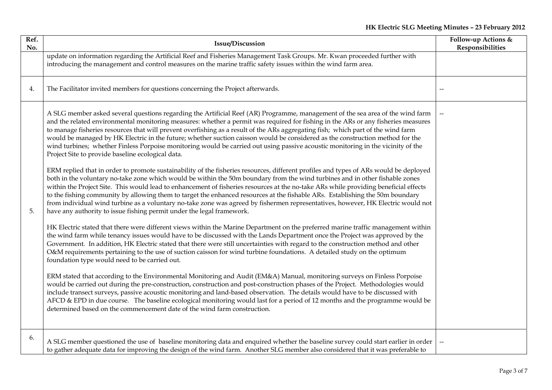| Ref.<br>No. | <b>Issue/Discussion</b>                                                                                                                                                                                                                                                                                                                                                                                                                                                                                                                                                                                                                                                                                                                                                                                                                                                                                                                                                                                                                                                                                                                                                                                                                                                                                                                                                                                                                                                                                                                                                                                                                                                                                                                                                                                                                                                                                                                                                                                                                                                                                                                                                                                                                                                                                                                                                                                                                                                                                                                                                                                                                                                                            | Follow-up Actions &<br>Responsibilities |
|-------------|----------------------------------------------------------------------------------------------------------------------------------------------------------------------------------------------------------------------------------------------------------------------------------------------------------------------------------------------------------------------------------------------------------------------------------------------------------------------------------------------------------------------------------------------------------------------------------------------------------------------------------------------------------------------------------------------------------------------------------------------------------------------------------------------------------------------------------------------------------------------------------------------------------------------------------------------------------------------------------------------------------------------------------------------------------------------------------------------------------------------------------------------------------------------------------------------------------------------------------------------------------------------------------------------------------------------------------------------------------------------------------------------------------------------------------------------------------------------------------------------------------------------------------------------------------------------------------------------------------------------------------------------------------------------------------------------------------------------------------------------------------------------------------------------------------------------------------------------------------------------------------------------------------------------------------------------------------------------------------------------------------------------------------------------------------------------------------------------------------------------------------------------------------------------------------------------------------------------------------------------------------------------------------------------------------------------------------------------------------------------------------------------------------------------------------------------------------------------------------------------------------------------------------------------------------------------------------------------------------------------------------------------------------------------------------------------------|-----------------------------------------|
|             | update on information regarding the Artificial Reef and Fisheries Management Task Groups. Mr. Kwan proceeded further with<br>introducing the management and control measures on the marine traffic safety issues within the wind farm area.                                                                                                                                                                                                                                                                                                                                                                                                                                                                                                                                                                                                                                                                                                                                                                                                                                                                                                                                                                                                                                                                                                                                                                                                                                                                                                                                                                                                                                                                                                                                                                                                                                                                                                                                                                                                                                                                                                                                                                                                                                                                                                                                                                                                                                                                                                                                                                                                                                                        |                                         |
| 4.          | The Facilitator invited members for questions concerning the Project afterwards.                                                                                                                                                                                                                                                                                                                                                                                                                                                                                                                                                                                                                                                                                                                                                                                                                                                                                                                                                                                                                                                                                                                                                                                                                                                                                                                                                                                                                                                                                                                                                                                                                                                                                                                                                                                                                                                                                                                                                                                                                                                                                                                                                                                                                                                                                                                                                                                                                                                                                                                                                                                                                   |                                         |
| 5.          | A SLG member asked several questions regarding the Artificial Reef (AR) Programme, management of the sea area of the wind farm<br>and the related environmental monitoring measures: whether a permit was required for fishing in the ARs or any fisheries measures<br>to manage fisheries resources that will prevent overfishing as a result of the ARs aggregating fish; which part of the wind farm<br>would be managed by HK Electric in the future; whether suction caisson would be considered as the construction method for the<br>wind turbines; whether Finless Porpoise monitoring would be carried out using passive acoustic monitoring in the vicinity of the<br>Project Site to provide baseline ecological data.<br>ERM replied that in order to promote sustainability of the fisheries resources, different profiles and types of ARs would be deployed<br>both in the voluntary no-take zone which would be within the 50m boundary from the wind turbines and in other fishable zones<br>within the Project Site. This would lead to enhancement of fisheries resources at the no-take ARs while providing beneficial effects<br>to the fishing community by allowing them to target the enhanced resources at the fishable ARs. Establishing the 50m boundary<br>from individual wind turbine as a voluntary no-take zone was agreed by fishermen representatives, however, HK Electric would not<br>have any authority to issue fishing permit under the legal framework.<br>HK Electric stated that there were different views within the Marine Department on the preferred marine traffic management within<br>the wind farm while tenancy issues would have to be discussed with the Lands Department once the Project was approved by the<br>Government. In addition, HK Electric stated that there were still uncertainties with regard to the construction method and other<br>O&M requirements pertaining to the use of suction caisson for wind turbine foundations. A detailed study on the optimum<br>foundation type would need to be carried out.<br>ERM stated that according to the Environmental Monitoring and Audit (EM&A) Manual, monitoring surveys on Finless Porpoise<br>would be carried out during the pre-construction, construction and post-construction phases of the Project. Methodologies would<br>include transect surveys, passive acoustic monitoring and land-based observation. The details would have to be discussed with<br>AFCD & EPD in due course. The baseline ecological monitoring would last for a period of 12 months and the programme would be<br>determined based on the commencement date of the wind farm construction. |                                         |
| 6.          | A SLG member questioned the use of baseline monitoring data and enquired whether the baseline survey could start earlier in order<br>to gather adequate data for improving the design of the wind farm. Another SLG member also considered that it was preferable to                                                                                                                                                                                                                                                                                                                                                                                                                                                                                                                                                                                                                                                                                                                                                                                                                                                                                                                                                                                                                                                                                                                                                                                                                                                                                                                                                                                                                                                                                                                                                                                                                                                                                                                                                                                                                                                                                                                                                                                                                                                                                                                                                                                                                                                                                                                                                                                                                               |                                         |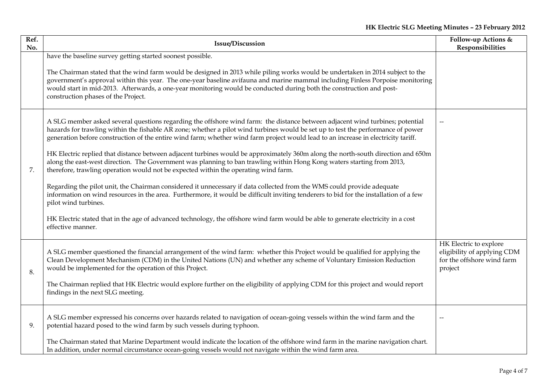| Ref.<br>No. | <b>Issue/Discussion</b>                                                                                                                                                                                                                                                                                                                                                                                                                                                                                                                                                                                                                                                                                                                                                                                                                                                                                                                                                                                                                                                                                                                                                                                           | Follow-up Actions &<br>Responsibilities                                                        |
|-------------|-------------------------------------------------------------------------------------------------------------------------------------------------------------------------------------------------------------------------------------------------------------------------------------------------------------------------------------------------------------------------------------------------------------------------------------------------------------------------------------------------------------------------------------------------------------------------------------------------------------------------------------------------------------------------------------------------------------------------------------------------------------------------------------------------------------------------------------------------------------------------------------------------------------------------------------------------------------------------------------------------------------------------------------------------------------------------------------------------------------------------------------------------------------------------------------------------------------------|------------------------------------------------------------------------------------------------|
|             | have the baseline survey getting started soonest possible.<br>The Chairman stated that the wind farm would be designed in 2013 while piling works would be undertaken in 2014 subject to the<br>government's approval within this year. The one-year baseline avifauna and marine mammal including Finless Porpoise monitoring<br>would start in mid-2013. Afterwards, a one-year monitoring would be conducted during both the construction and post-<br>construction phases of the Project.                                                                                                                                                                                                                                                                                                                                                                                                                                                                                                                                                                                                                                                                                                                     |                                                                                                |
| 7.          | A SLG member asked several questions regarding the offshore wind farm: the distance between adjacent wind turbines; potential<br>hazards for trawling within the fishable AR zone; whether a pilot wind turbines would be set up to test the performance of power<br>generation before construction of the entire wind farm; whether wind farm project would lead to an increase in electricity tariff.<br>HK Electric replied that distance between adjacent turbines would be approximately 360m along the north-south direction and 650m<br>along the east-west direction. The Government was planning to ban trawling within Hong Kong waters starting from 2013,<br>therefore, trawling operation would not be expected within the operating wind farm.<br>Regarding the pilot unit, the Chairman considered it unnecessary if data collected from the WMS could provide adequate<br>information on wind resources in the area. Furthermore, it would be difficult inviting tenderers to bid for the installation of a few<br>pilot wind turbines.<br>HK Electric stated that in the age of advanced technology, the offshore wind farm would be able to generate electricity in a cost<br>effective manner. |                                                                                                |
| 8.          | A SLG member questioned the financial arrangement of the wind farm: whether this Project would be qualified for applying the<br>Clean Development Mechanism (CDM) in the United Nations (UN) and whether any scheme of Voluntary Emission Reduction<br>would be implemented for the operation of this Project.<br>The Chairman replied that HK Electric would explore further on the eligibility of applying CDM for this project and would report<br>findings in the next SLG meeting.                                                                                                                                                                                                                                                                                                                                                                                                                                                                                                                                                                                                                                                                                                                           | HK Electric to explore<br>eligibility of applying CDM<br>for the offshore wind farm<br>project |
| 9.          | A SLG member expressed his concerns over hazards related to navigation of ocean-going vessels within the wind farm and the<br>potential hazard posed to the wind farm by such vessels during typhoon.<br>The Chairman stated that Marine Department would indicate the location of the offshore wind farm in the marine navigation chart.<br>In addition, under normal circumstance ocean-going vessels would not navigate within the wind farm area.                                                                                                                                                                                                                                                                                                                                                                                                                                                                                                                                                                                                                                                                                                                                                             | $\sim$                                                                                         |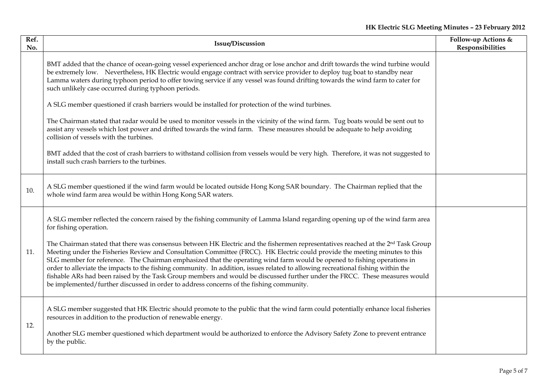# **HK Electric SLG Meeting Minutes – 23 February 2012**

| Ref.<br>No. | <b>Issue/Discussion</b>                                                                                                                                                                                                                                                                                                                                                                                                                                                                                                                                                                                                                                                                                                                                             | Follow-up Actions &<br>Responsibilities |
|-------------|---------------------------------------------------------------------------------------------------------------------------------------------------------------------------------------------------------------------------------------------------------------------------------------------------------------------------------------------------------------------------------------------------------------------------------------------------------------------------------------------------------------------------------------------------------------------------------------------------------------------------------------------------------------------------------------------------------------------------------------------------------------------|-----------------------------------------|
|             | BMT added that the chance of ocean-going vessel experienced anchor drag or lose anchor and drift towards the wind turbine would<br>be extremely low. Nevertheless, HK Electric would engage contract with service provider to deploy tug boat to standby near<br>Lamma waters during typhoon period to offer towing service if any vessel was found drifting towards the wind farm to cater for<br>such unlikely case occurred during typhoon periods.                                                                                                                                                                                                                                                                                                              |                                         |
|             | A SLG member questioned if crash barriers would be installed for protection of the wind turbines.                                                                                                                                                                                                                                                                                                                                                                                                                                                                                                                                                                                                                                                                   |                                         |
|             | The Chairman stated that radar would be used to monitor vessels in the vicinity of the wind farm. Tug boats would be sent out to<br>assist any vessels which lost power and drifted towards the wind farm. These measures should be adequate to help avoiding<br>collision of vessels with the turbines.                                                                                                                                                                                                                                                                                                                                                                                                                                                            |                                         |
|             | BMT added that the cost of crash barriers to withstand collision from vessels would be very high. Therefore, it was not suggested to<br>install such crash barriers to the turbines.                                                                                                                                                                                                                                                                                                                                                                                                                                                                                                                                                                                |                                         |
| 10.         | A SLG member questioned if the wind farm would be located outside Hong Kong SAR boundary. The Chairman replied that the<br>whole wind farm area would be within Hong Kong SAR waters.                                                                                                                                                                                                                                                                                                                                                                                                                                                                                                                                                                               |                                         |
|             | A SLG member reflected the concern raised by the fishing community of Lamma Island regarding opening up of the wind farm area<br>for fishing operation.                                                                                                                                                                                                                                                                                                                                                                                                                                                                                                                                                                                                             |                                         |
| 11.         | The Chairman stated that there was consensus between HK Electric and the fishermen representatives reached at the 2 <sup>nd</sup> Task Group<br>Meeting under the Fisheries Review and Consultation Committee (FRCC). HK Electric could provide the meeting minutes to this<br>SLG member for reference. The Chairman emphasized that the operating wind farm would be opened to fishing operations in<br>order to alleviate the impacts to the fishing community. In addition, issues related to allowing recreational fishing within the<br>fishable ARs had been raised by the Task Group members and would be discussed further under the FRCC. These measures would<br>be implemented/further discussed in order to address concerns of the fishing community. |                                         |
| 12.         | A SLG member suggested that HK Electric should promote to the public that the wind farm could potentially enhance local fisheries<br>resources in addition to the production of renewable energy.                                                                                                                                                                                                                                                                                                                                                                                                                                                                                                                                                                   |                                         |
|             | Another SLG member questioned which department would be authorized to enforce the Advisory Safety Zone to prevent entrance<br>by the public.                                                                                                                                                                                                                                                                                                                                                                                                                                                                                                                                                                                                                        |                                         |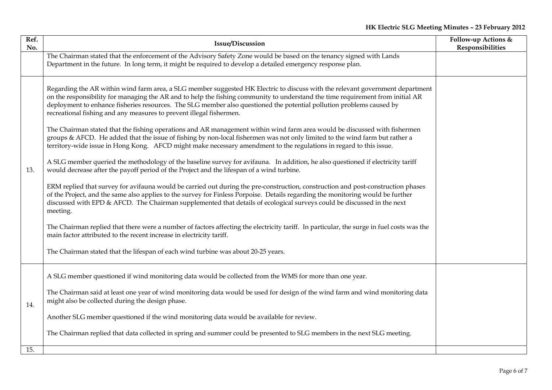| Ref.<br>No. | Issue/Discussion                                                                                                                                                                                                                                                                                                                                                                                                                                                                                                                                                                                                                                                                                                                                                                                                                                                                                                                                                                                                                                                                                                                                                                                                                                                                                                                                                                                                                                                                                                                                                                                                                                                                                                                                                                                        | Follow-up Actions &<br>Responsibilities |
|-------------|---------------------------------------------------------------------------------------------------------------------------------------------------------------------------------------------------------------------------------------------------------------------------------------------------------------------------------------------------------------------------------------------------------------------------------------------------------------------------------------------------------------------------------------------------------------------------------------------------------------------------------------------------------------------------------------------------------------------------------------------------------------------------------------------------------------------------------------------------------------------------------------------------------------------------------------------------------------------------------------------------------------------------------------------------------------------------------------------------------------------------------------------------------------------------------------------------------------------------------------------------------------------------------------------------------------------------------------------------------------------------------------------------------------------------------------------------------------------------------------------------------------------------------------------------------------------------------------------------------------------------------------------------------------------------------------------------------------------------------------------------------------------------------------------------------|-----------------------------------------|
|             | The Chairman stated that the enforcement of the Advisory Safety Zone would be based on the tenancy signed with Lands<br>Department in the future. In long term, it might be required to develop a detailed emergency response plan.                                                                                                                                                                                                                                                                                                                                                                                                                                                                                                                                                                                                                                                                                                                                                                                                                                                                                                                                                                                                                                                                                                                                                                                                                                                                                                                                                                                                                                                                                                                                                                     |                                         |
| 13.         | Regarding the AR within wind farm area, a SLG member suggested HK Electric to discuss with the relevant government department<br>on the responsibility for managing the AR and to help the fishing community to understand the time requirement from initial AR<br>deployment to enhance fisheries resources. The SLG member also questioned the potential pollution problems caused by<br>recreational fishing and any measures to prevent illegal fishermen.<br>The Chairman stated that the fishing operations and AR management within wind farm area would be discussed with fishermen<br>groups & AFCD. He added that the issue of fishing by non-local fishermen was not only limited to the wind farm but rather a<br>territory-wide issue in Hong Kong. AFCD might make necessary amendment to the regulations in regard to this issue.<br>A SLG member queried the methodology of the baseline survey for avifauna. In addition, he also questioned if electricity tariff<br>would decrease after the payoff period of the Project and the lifespan of a wind turbine.<br>ERM replied that survey for avifauna would be carried out during the pre-construction, construction and post-construction phases<br>of the Project, and the same also applies to the survey for Finless Porpoise. Details regarding the monitoring would be further<br>discussed with EPD & AFCD. The Chairman supplemented that details of ecological surveys could be discussed in the next<br>meeting.<br>The Chairman replied that there were a number of factors affecting the electricity tariff. In particular, the surge in fuel costs was the<br>main factor attributed to the recent increase in electricity tariff.<br>The Chairman stated that the lifespan of each wind turbine was about 20-25 years. |                                         |
| 14.         | A SLG member questioned if wind monitoring data would be collected from the WMS for more than one year.<br>The Chairman said at least one year of wind monitoring data would be used for design of the wind farm and wind monitoring data<br>might also be collected during the design phase.<br>Another SLG member questioned if the wind monitoring data would be available for review.<br>The Chairman replied that data collected in spring and summer could be presented to SLG members in the next SLG meeting.                                                                                                                                                                                                                                                                                                                                                                                                                                                                                                                                                                                                                                                                                                                                                                                                                                                                                                                                                                                                                                                                                                                                                                                                                                                                                   |                                         |
| 15.         |                                                                                                                                                                                                                                                                                                                                                                                                                                                                                                                                                                                                                                                                                                                                                                                                                                                                                                                                                                                                                                                                                                                                                                                                                                                                                                                                                                                                                                                                                                                                                                                                                                                                                                                                                                                                         |                                         |